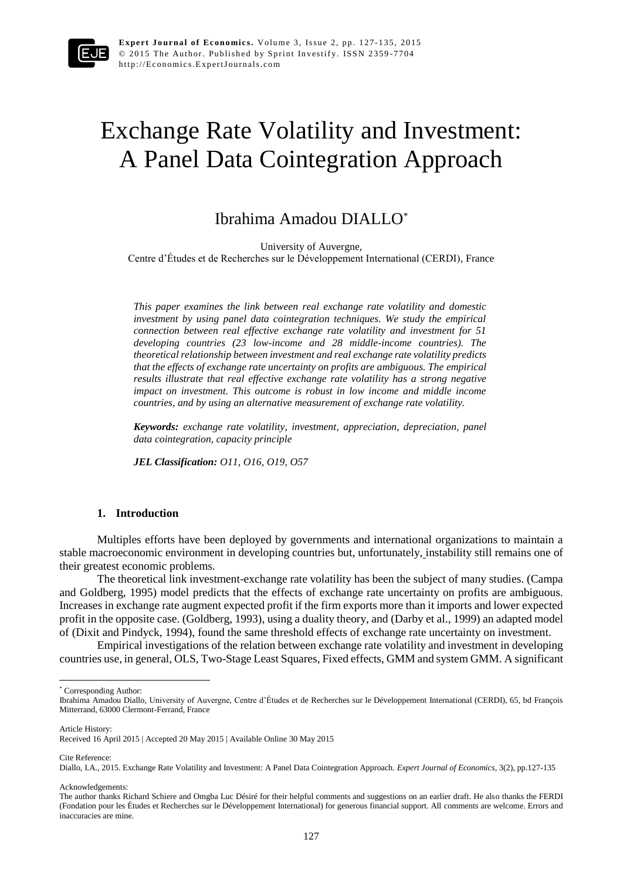

# Exchange Rate Volatility and Investment: A Panel Data Cointegration Approach

# Ibrahima Amadou DIALLO\*

University of Auvergne,

Centre d'Études et de Recherches sur le Développement International (CERDI), France

*This paper examines the link between real exchange rate volatility and domestic investment by using panel data cointegration techniques. We study the empirical connection between real effective exchange rate volatility and investment for 51 developing countries (23 low-income and 28 middle-income countries). The theoretical relationship between investment and real exchange rate volatility predicts that the effects of exchange rate uncertainty on profits are ambiguous. The empirical results illustrate that real effective exchange rate volatility has a strong negative impact on investment. This outcome is robust in low income and middle income countries, and by using an alternative measurement of exchange rate volatility.*

*Keywords: exchange rate volatility, investment, appreciation, depreciation, panel data cointegration, capacity principle*

*JEL Classification: O11, O16, O19, O57*

# **1. Introduction**

Multiples efforts have been deployed by governments and international organizations to maintain a stable macroeconomic environment in developing countries but, unfortunately, instability still remains one of their greatest economic problems.

The theoretical link investment-exchange rate volatility has been the subject of many studies. (Campa and Goldberg, 1995) model predicts that the effects of exchange rate uncertainty on profits are ambiguous. Increases in exchange rate augment expected profit if the firm exports more than it imports and lower expected profit in the opposite case. (Goldberg, 1993), using a duality theory, and (Darby et al., 1999) an adapted model of (Dixit and Pindyck, 1994), found the same threshold effects of exchange rate uncertainty on investment.

Empirical investigations of the relation between exchange rate volatility and investment in developing countries use, in general, OLS, Two-Stage Least Squares, Fixed effects, GMM and system GMM. A significant

Article History:

 $\ddot{\phantom{a}}$ 

Cite Reference:

Acknowledgements:

<sup>\*</sup> Corresponding Author:

Ibrahima Amadou Diallo, University of Auvergne, Centre d'Études et de Recherches sur le Développement International (CERDI), 65, bd François Mitterrand, 63000 Clermont-Ferrand, France

Received 16 April 2015 | Accepted 20 May 2015 | Available Online 30 May 2015

Diallo, I.A., 2015. Exchange Rate Volatility and Investment: A Panel Data Cointegration Approach. *Expert Journal of Economics*, 3(2), pp.127-135

The author thanks Richard Schiere and Omgba Luc Désiré for their helpful comments and suggestions on an earlier draft. He also thanks the FERDI (Fondation pour les Études et Recherches sur le Développement International) for generous financial support. All comments are welcome. Errors and inaccuracies are mine.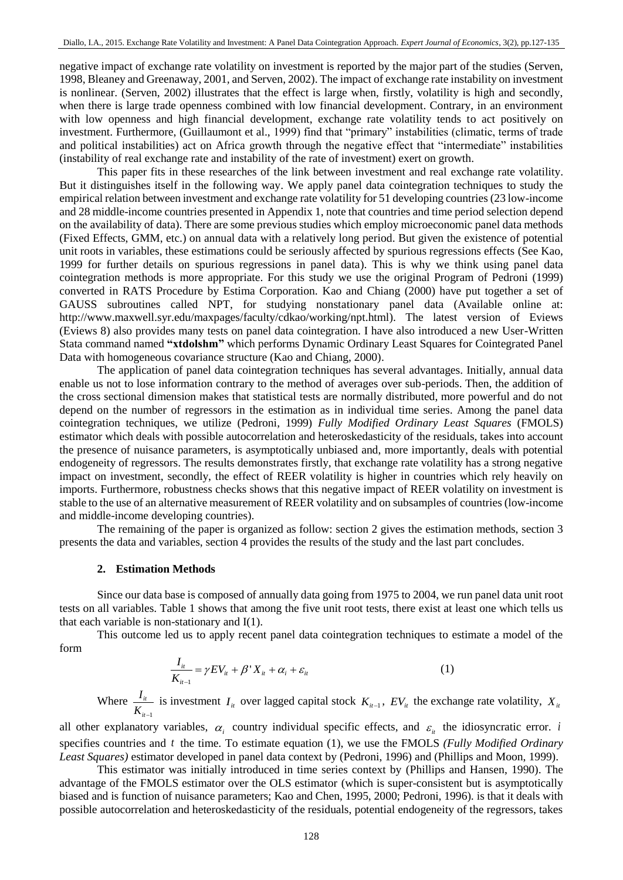negative impact of exchange rate volatility on investment is reported by the major part of the studies (Serven, 1998, Bleaney and Greenaway, 2001*,* and Serven, 2002). The impact of exchange rate instability on investment is nonlinear. (Serven, 2002) illustrates that the effect is large when, firstly, volatility is high and secondly, when there is large trade openness combined with low financial development. Contrary, in an environment with low openness and high financial development, exchange rate volatility tends to act positively on investment. Furthermore, (Guillaumont et al., 1999) find that "primary" instabilities (climatic, terms of trade and political instabilities) act on Africa growth through the negative effect that "intermediate" instabilities (instability of real exchange rate and instability of the rate of investment) exert on growth.

This paper fits in these researches of the link between investment and real exchange rate volatility. But it distinguishes itself in the following way. We apply panel data cointegration techniques to study the empirical relation between investment and exchange rate volatility for 51 developing countries (23 low-income and 28 middle-income countries presented in Appendix 1, note that countries and time period selection depend on the availability of data). There are some previous studies which employ microeconomic panel data methods (Fixed Effects, GMM, etc.) on annual data with a relatively long period. But given the existence of potential unit roots in variables, these estimations could be seriously affected by spurious regressions effects (See Kao, 1999 for further details on spurious regressions in panel data). This is why we think using panel data cointegration methods is more appropriate. For this study we use the original Program of Pedroni (1999) converted in RATS Procedure by Estima Corporation. Kao and Chiang (2000) have put together a set of GAUSS subroutines called NPT, for studying nonstationary panel data (Available online at: http://www.maxwell.syr.edu/maxpages/faculty/cdkao/working/npt.html). The latest version of Eviews (Eviews 8) also provides many tests on panel data cointegration. I have also introduced a new User-Written Stata command named **"xtdolshm"** which performs Dynamic Ordinary Least Squares for Cointegrated Panel Data with homogeneous covariance structure (Kao and Chiang, 2000).

The application of panel data cointegration techniques has several advantages. Initially, annual data enable us not to lose information contrary to the method of averages over sub-periods. Then, the addition of the cross sectional dimension makes that statistical tests are normally distributed, more powerful and do not depend on the number of regressors in the estimation as in individual time series. Among the panel data cointegration techniques, we utilize (Pedroni, 1999) *Fully Modified Ordinary Least Squares* (FMOLS) estimator which deals with possible autocorrelation and heteroskedasticity of the residuals, takes into account the presence of nuisance parameters, is asymptotically unbiased and, more importantly, deals with potential endogeneity of regressors. The results demonstrates firstly, that exchange rate volatility has a strong negative impact on investment, secondly, the effect of REER volatility is higher in countries which rely heavily on imports. Furthermore, robustness checks shows that this negative impact of REER volatility on investment is stable to the use of an alternative measurement of REER volatility and on subsamples of countries (low-income and middle-income developing countries).

The remaining of the paper is organized as follow: section 2 gives the estimation methods, section 3 presents the data and variables, section 4 provides the results of the study and the last part concludes.

#### **2. Estimation Methods**

Since our data base is composed of annually data going from 1975 to 2004, we run panel data unit root tests on all variables. Table 1 shows that among the five unit root tests, there exist at least one which tells us that each variable is non-stationary and I(1).

This outcome led us to apply recent panel data cointegration techniques to estimate a model of the form

$$
\frac{I_{it}}{K_{it-1}} = \gamma EV_{it} + \beta' X_{it} + \alpha_i + \varepsilon_{it}
$$
\n(1)

Where 1 *it it I*  $K_{it-}$ is investment  $I_{i}$  over lagged capital stock  $K_{i}$ ,  $EV_{i}$  the exchange rate volatility,  $X_{i}$ 

all other explanatory variables,  $\alpha_i$  country individual specific effects, and  $\varepsilon_i$  the idiosyncratic error. *i* specifies countries and t the time. To estimate equation (1), we use the FMOLS *(Fully Modified Ordinary Least Squares)* estimator developed in panel data context by (Pedroni, 1996) and (Phillips and Moon, 1999).

This estimator was initially introduced in time series context by (Phillips and Hansen, 1990). The advantage of the FMOLS estimator over the OLS estimator (which is super-consistent but is asymptotically biased and is function of nuisance parameters; Kao and Chen, 1995, 2000; Pedroni, 1996)*.* is that it deals with possible autocorrelation and heteroskedasticity of the residuals, potential endogeneity of the regressors, takes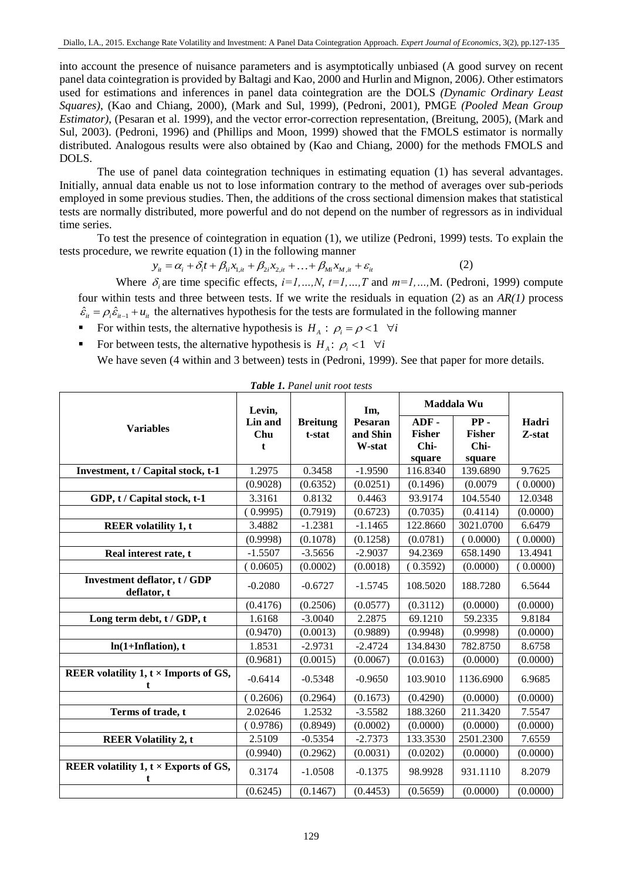into account the presence of nuisance parameters and is asymptotically unbiased (A good survey on recent panel data cointegration is provided by Baltagi and Kao, 2000 and Hurlin and Mignon, 2006*)*. Other estimators used for estimations and inferences in panel data cointegration are the DOLS *(Dynamic Ordinary Least Squares)*, (Kao and Chiang, 2000), (Mark and Sul, 1999), (Pedroni, 2001), PMGE *(Pooled Mean Group Estimator)*, (Pesaran et al. 1999), and the vector error-correction representation, (Breitung, 2005), (Mark and Sul, 2003). (Pedroni, 1996) and (Phillips and Moon, 1999) showed that the FMOLS estimator is normally distributed. Analogous results were also obtained by (Kao and Chiang, 2000) for the methods FMOLS and DOLS.

The use of panel data cointegration techniques in estimating equation (1) has several advantages. Initially, annual data enable us not to lose information contrary to the method of averages over sub-periods employed in some previous studies. Then, the additions of the cross sectional dimension makes that statistical tests are normally distributed, more powerful and do not depend on the number of regressors as in individual time series.

To test the presence of cointegration in equation (1), we utilize (Pedroni, 1999) tests. To explain the tests procedure, we rewrite equation (1) in the following manner<br>  $y_{it} = \alpha_i + \delta_i t + \beta_{li} x_{l,i} + \beta_{2i} x_{2,i} + ... + \beta_{Mi} x_{M,i} + \varepsilon_{it}$  (2)

$$
y_{it} = \alpha_i + \delta_i t + \beta_{1i} x_{1,it} + \beta_{2i} x_{2,it} + \ldots + \beta_{Mi} x_{M,it} + \varepsilon_{it}
$$
 (2)

Where  $\delta_i$  are time specific effects,  $i=1,...,N$ ,  $t=1,...,T$  and  $m=1,...,M$ . (Pedroni, 1999) compute four within tests and three between tests. If we write the residuals in equation (2) as an *AR(1)* process  $\hat{\epsilon}_{it} = \rho_i \hat{\epsilon}_{it-1} + u_{it}$  the alternatives hypothesis for the tests are formulated in the following manner

- For within tests, the alternative hypothesis is  $H_A: \rho_i = \rho < 1 \quad \forall i$
- For between tests, the alternative hypothesis is  $H_A: \rho_i < 1 \quad \forall i$

We have seven (4 within and 3 between) tests in (Pedroni, 1999). See that paper for more details.

| Table 1. Panel unit root tests                    |                     |                           |                               |                                         |                                           |                 |  |  |
|---------------------------------------------------|---------------------|---------------------------|-------------------------------|-----------------------------------------|-------------------------------------------|-----------------|--|--|
|                                                   | Levin,              |                           | Im,                           |                                         | Maddala Wu                                |                 |  |  |
| <b>Variables</b>                                  | Lin and<br>Chu<br>t | <b>Breitung</b><br>t-stat | Pesaran<br>and Shin<br>W-stat | ADF-<br><b>Fisher</b><br>Chi-<br>square | $PP -$<br><b>Fisher</b><br>Chi-<br>square | Hadri<br>Z-stat |  |  |
| Investment, t / Capital stock, t-1                | 1.2975              | 0.3458                    | $-1.9590$                     | 116.8340                                | 139.6890                                  | 9.7625          |  |  |
|                                                   | (0.9028)            | (0.6352)                  | (0.0251)                      | (0.1496)                                | (0.0079)                                  | (0.0000)        |  |  |
| GDP, t / Capital stock, t-1                       | 3.3161              | 0.8132                    | 0.4463                        | 93.9174                                 | 104.5540                                  | 12.0348         |  |  |
|                                                   | 0.9995              | (0.7919)                  | (0.6723)                      | (0.7035)                                | (0.4114)                                  | (0.0000)        |  |  |
| <b>REER</b> volatility 1, t                       | 3.4882              | $-1.2381$                 | $-1.1465$                     | 122.8660                                | 3021.0700                                 | 6.6479          |  |  |
|                                                   | (0.9998)            | (0.1078)                  | (0.1258)                      | (0.0781)                                | (0.0000)                                  | (0.0000)        |  |  |
| Real interest rate, t                             | $-1.5507$           | $-3.5656$                 | $-2.9037$                     | 94.2369                                 | 658.1490                                  | 13.4941         |  |  |
|                                                   | (0.0605)            | (0.0002)                  | (0.0018)                      | (0.3592)                                | (0.0000)                                  | (0.0000)        |  |  |
| Investment deflator, t / GDP<br>deflator, t       | $-0.2080$           | $-0.6727$                 | $-1.5745$                     | 108.5020                                | 188.7280                                  | 6.5644          |  |  |
|                                                   | (0.4176)            | (0.2506)                  | (0.0577)                      | (0.3112)                                | (0.0000)                                  | (0.0000)        |  |  |
| Long term debt, t / GDP, t                        | 1.6168              | $-3.0040$                 | 2.2875                        | 69.1210                                 | 59.2335                                   | 9.8184          |  |  |
|                                                   | (0.9470)            | (0.0013)                  | (0.9889)                      | (0.9948)                                | (0.9998)                                  | (0.0000)        |  |  |
| $ln(1+Inflation)$ , t                             | 1.8531              | $-2.9731$                 | $-2.4724$                     | 134.8430                                | 782.8750                                  | 8.6758          |  |  |
|                                                   | (0.9681)            | (0.0015)                  | (0.0067)                      | (0.0163)                                | (0.0000)                                  | (0.0000)        |  |  |
| REER volatility $1, t \times$ Imports of GS,      | $-0.6414$           | $-0.5348$                 | $-0.9650$                     | 103.9010                                | 1136.6900                                 | 6.9685          |  |  |
|                                                   | 0.2606              | (0.2964)                  | (0.1673)                      | (0.4290)                                | (0.0000)                                  | (0.0000)        |  |  |
| Terms of trade, t                                 | 2.02646             | 1.2532                    | $-3.5582$                     | 188.3260                                | 211.3420                                  | 7.5547          |  |  |
|                                                   | (0.9786)            | (0.8949)                  | (0.0002)                      | (0.0000)                                | (0.0000)                                  | (0.0000)        |  |  |
| <b>REER Volatility 2, t</b>                       | 2.5109              | $-0.5354$                 | $-2.7373$                     | 133.3530                                | 2501.2300                                 | 7.6559          |  |  |
|                                                   | (0.9940)            | (0.2962)                  | (0.0031)                      | (0.0202)                                | (0.0000)                                  | (0.0000)        |  |  |
| REER volatility $1, t \times$ Exports of GS,<br>t | 0.3174              | $-1.0508$                 | $-0.1375$                     | 98.9928                                 | 931.1110                                  | 8.2079          |  |  |
|                                                   | (0.6245)            | (0.1467)                  | (0.4453)                      | (0.5659)                                | (0.0000)                                  | (0.0000)        |  |  |

129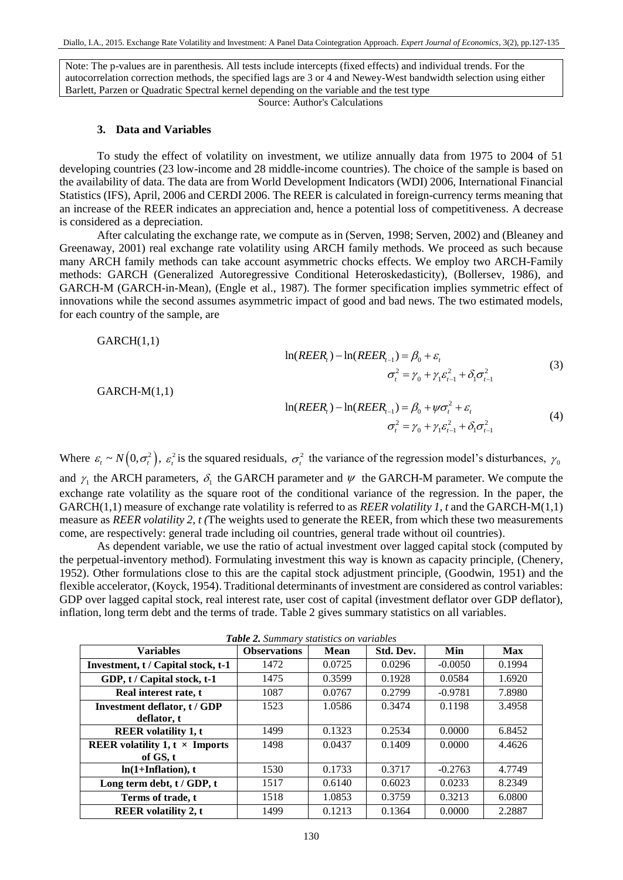Note: The p-values are in parenthesis. All tests include intercepts (fixed effects) and individual trends. For the autocorrelation correction methods, the specified lags are 3 or 4 and Newey-West bandwidth selection using either Barlett, Parzen or Quadratic Spectral kernel depending on the variable and the test type

Source: Author's Calculations

#### **3. Data and Variables**

To study the effect of volatility on investment, we utilize annually data from 1975 to 2004 of 51 developing countries (23 low-income and 28 middle-income countries). The choice of the sample is based on the availability of data. The data are from World Development Indicators (WDI) 2006, International Financial Statistics (IFS), April, 2006 and CERDI 2006. The REER is calculated in foreign-currency terms meaning that an increase of the REER indicates an appreciation and, hence a potential loss of competitiveness. A decrease is considered as a depreciation.

After calculating the exchange rate, we compute as in (Serven, 1998; Serven, 2002) and (Bleaney and Greenaway, 2001) real exchange rate volatility using ARCH family methods. We proceed as such because many ARCH family methods can take account asymmetric chocks effects. We employ two ARCH-Family methods: GARCH (Generalized Autoregressive Conditional Heteroskedasticity), (Bollersev, 1986), and GARCH-M (GARCH-in-Mean), (Engle et al., 1987). The former specification implies symmetric effect of innovations while the second assumes asymmetric impact of good and bad news. The two estimated models, for each country of the sample, are

 $GARCH(1,1)$ 

$$
\ln(REER_{i}) - \ln(REER_{i-1}) = \beta_{0} + \varepsilon_{i}
$$
  

$$
\sigma_{i}^{2} = \gamma_{0} + \gamma_{1}\varepsilon_{i-1}^{2} + \delta_{1}\sigma_{i-1}^{2}
$$
(3)

GARCH-M(1,1)

$$
\ln(REER_{i}) - \ln(REER_{i-1}) = \beta_{0} + \psi \sigma_{i}^{2} + \varepsilon_{i}
$$
  
\n
$$
\sigma_{i}^{2} = \gamma_{0} + \gamma_{1} \varepsilon_{i-1}^{2} + \delta_{1} \sigma_{i-1}^{2}
$$
\n(4)

Where  $\varepsilon_t \sim N(0, \sigma_t^2)$ ,  $\varepsilon_t^2$  is the squared residuals,  $\sigma_t^2$  the variance of the regression model's disturbances,  $\gamma_0$ and  $\gamma_1$  the ARCH parameters,  $\delta_1$  the GARCH parameter and  $\psi$  the GARCH-M parameter. We compute the exchange rate volatility as the square root of the conditional variance of the regression. In the paper, the GARCH(1,1) measure of exchange rate volatility is referred to as *REER volatility 1, t* and the GARCH-M(1,1) measure as *REER volatility 2, t (*The weights used to generate the REER, from which these two measurements come, are respectively: general trade including oil countries, general trade without oil countries).

As dependent variable, we use the ratio of actual investment over lagged capital stock (computed by the perpetual-inventory method). Formulating investment this way is known as capacity principle, (Chenery, 1952). Other formulations close to this are the capital stock adjustment principle, (Goodwin, 1951) and the flexible accelerator, (Koyck, 1954). Traditional determinants of investment are considered as control variables: GDP over lagged capital stock, real interest rate, user cost of capital (investment deflator over GDP deflator), inflation, long term debt and the terms of trade. Table 2 gives summary statistics on all variables.

|  |  | Table 2. Summary statistics on variables |  |  |  |
|--|--|------------------------------------------|--|--|--|
|--|--|------------------------------------------|--|--|--|

| <b>Table 2.</b> Summary statistics on variables |                     |        |           |           |        |  |  |  |  |
|-------------------------------------------------|---------------------|--------|-----------|-----------|--------|--|--|--|--|
| <b>Variables</b>                                | <b>Observations</b> | Mean   | Std. Dev. | Min       | Max    |  |  |  |  |
| Investment, t / Capital stock, t-1              | 1472                | 0.0725 | 0.0296    | $-0.0050$ | 0.1994 |  |  |  |  |
| GDP, t / Capital stock, t-1                     | 1475                | 0.3599 | 0.1928    | 0.0584    | 1.6920 |  |  |  |  |
| Real interest rate, t                           | 1087                | 0.0767 | 0.2799    | $-0.9781$ | 7.8980 |  |  |  |  |
| Investment deflator, t / GDP                    | 1523                | 1.0586 | 0.3474    | 0.1198    | 3.4958 |  |  |  |  |
| deflator, t                                     |                     |        |           |           |        |  |  |  |  |
| <b>REER</b> volatility 1, t                     | 1499                | 0.1323 | 0.2534    | 0.0000    | 6.8452 |  |  |  |  |
| <b>REER</b> volatility 1, $t \times$ Imports    | 1498                | 0.0437 | 0.1409    | 0.0000    | 4.4626 |  |  |  |  |
| of GS, t                                        |                     |        |           |           |        |  |  |  |  |
| $ln(1+Inflation)$ , t                           | 1530                | 0.1733 | 0.3717    | $-0.2763$ | 4.7749 |  |  |  |  |
| Long term debt, t / GDP, t                      | 1517                | 0.6140 | 0.6023    | 0.0233    | 8.2349 |  |  |  |  |
| Terms of trade, t                               | 1518                | 1.0853 | 0.3759    | 0.3213    | 6.0800 |  |  |  |  |
| <b>REER</b> volatility 2, t                     | 1499                | 0.1213 | 0.1364    | 0.0000    | 2.2887 |  |  |  |  |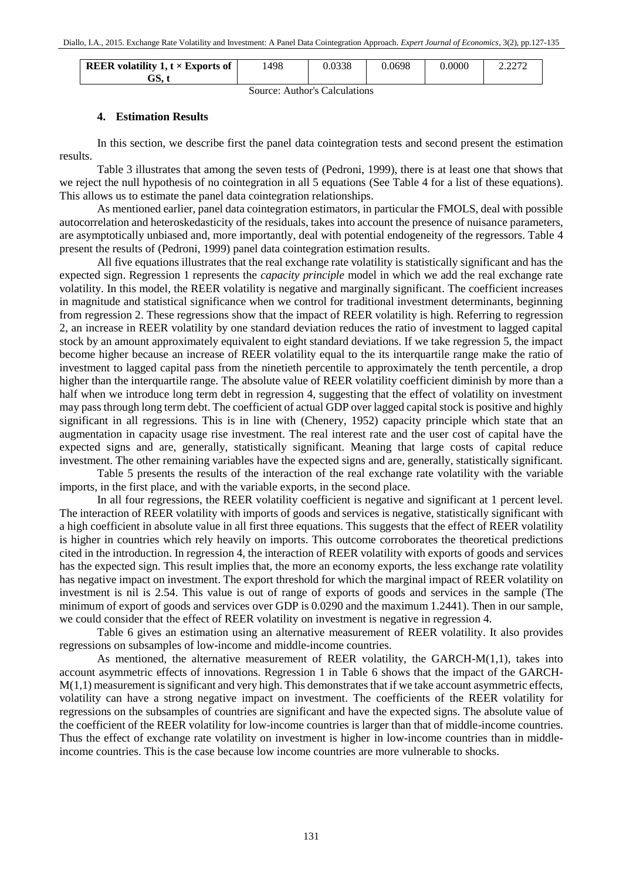| <b>REER</b> volatility 1, $t \times$ Exports of | 1498 | 0.0338 | 0.0698 | 0.0000 | רמר ר<br>4.4414 |
|-------------------------------------------------|------|--------|--------|--------|-----------------|
| ЗS.                                             |      |        |        |        |                 |

Source: Author's Calculations

#### **4. Estimation Results**

In this section, we describe first the panel data cointegration tests and second present the estimation results.

Table 3 illustrates that among the seven tests of (Pedroni, 1999), there is at least one that shows that we reject the null hypothesis of no cointegration in all 5 equations (See Table 4 for a list of these equations). This allows us to estimate the panel data cointegration relationships.

As mentioned earlier, panel data cointegration estimators, in particular the FMOLS, deal with possible autocorrelation and heteroskedasticity of the residuals, takes into account the presence of nuisance parameters, are asymptotically unbiased and, more importantly, deal with potential endogeneity of the regressors. Table 4 present the results of (Pedroni, 1999) panel data cointegration estimation results.

All five equations illustrates that the real exchange rate volatility is statistically significant and has the expected sign. Regression 1 represents the *capacity principle* model in which we add the real exchange rate volatility. In this model, the REER volatility is negative and marginally significant. The coefficient increases in magnitude and statistical significance when we control for traditional investment determinants, beginning from regression 2. These regressions show that the impact of REER volatility is high. Referring to regression 2, an increase in REER volatility by one standard deviation reduces the ratio of investment to lagged capital stock by an amount approximately equivalent to eight standard deviations. If we take regression 5, the impact become higher because an increase of REER volatility equal to the its interquartile range make the ratio of investment to lagged capital pass from the ninetieth percentile to approximately the tenth percentile, a drop higher than the interquartile range. The absolute value of REER volatility coefficient diminish by more than a half when we introduce long term debt in regression 4, suggesting that the effect of volatility on investment may pass through long term debt. The coefficient of actual GDP over lagged capital stock is positive and highly significant in all regressions. This is in line with (Chenery, 1952) capacity principle which state that an augmentation in capacity usage rise investment. The real interest rate and the user cost of capital have the expected signs and are, generally, statistically significant. Meaning that large costs of capital reduce investment. The other remaining variables have the expected signs and are, generally, statistically significant.

Table 5 presents the results of the interaction of the real exchange rate volatility with the variable imports, in the first place, and with the variable exports, in the second place.

In all four regressions, the REER volatility coefficient is negative and significant at 1 percent level. The interaction of REER volatility with imports of goods and services is negative, statistically significant with a high coefficient in absolute value in all first three equations. This suggests that the effect of REER volatility is higher in countries which rely heavily on imports. This outcome corroborates the theoretical predictions cited in the introduction. In regression 4, the interaction of REER volatility with exports of goods and services has the expected sign. This result implies that, the more an economy exports, the less exchange rate volatility has negative impact on investment. The export threshold for which the marginal impact of REER volatility on investment is nil is 2.54. This value is out of range of exports of goods and services in the sample (The minimum of export of goods and services over GDP is 0.0290 and the maximum 1.2441). Then in our sample, we could consider that the effect of REER volatility on investment is negative in regression 4.

Table 6 gives an estimation using an alternative measurement of REER volatility. It also provides regressions on subsamples of low-income and middle-income countries.

As mentioned, the alternative measurement of REER volatility, the GARCH- $M(1,1)$ , takes into account asymmetric effects of innovations. Regression 1 in Table 6 shows that the impact of the GARCH- $M(1,1)$  measurement is significant and very high. This demonstrates that if we take account asymmetric effects, volatility can have a strong negative impact on investment. The coefficients of the REER volatility for regressions on the subsamples of countries are significant and have the expected signs. The absolute value of the coefficient of the REER volatility for low-income countries is larger than that of middle-income countries. Thus the effect of exchange rate volatility on investment is higher in low-income countries than in middleincome countries. This is the case because low income countries are more vulnerable to shocks.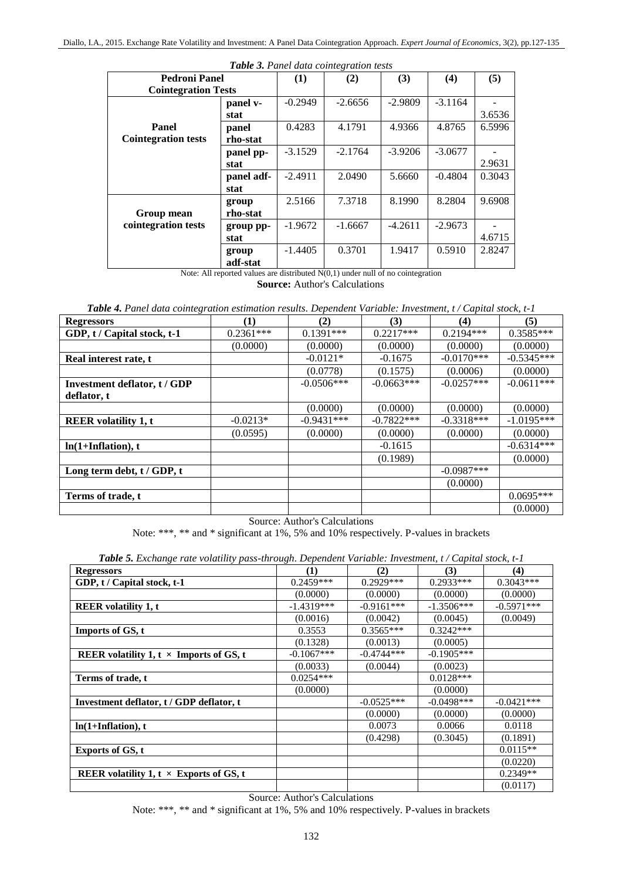| <b>Table 3.</b> Panel data cointegration tests |            |           |           |               |           |        |  |  |
|------------------------------------------------|------------|-----------|-----------|---------------|-----------|--------|--|--|
| <b>Pedroni Panel</b>                           |            | $\bf(1)$  | (2)       | (3)           | (4)       | (5)    |  |  |
| <b>Cointegration Tests</b>                     |            |           |           |               |           |        |  |  |
|                                                | panel v-   | $-0.2949$ | $-2.6656$ | $-2.9809$     | $-3.1164$ |        |  |  |
|                                                | stat       |           |           |               |           | 3.6536 |  |  |
| Panel                                          | panel      | 0.4283    | 4.1791    | 4.9366        | 4.8765    | 6.5996 |  |  |
| <b>Cointegration tests</b>                     | rho-stat   |           |           |               |           |        |  |  |
|                                                | panel pp-  | $-3.1529$ | $-2.1764$ | $-3.9206$     | $-3.0677$ |        |  |  |
|                                                | stat       |           |           |               |           | 2.9631 |  |  |
|                                                | panel adf- | $-2.4911$ | 2.0490    | 5.6660        | $-0.4804$ | 0.3043 |  |  |
|                                                | stat       |           |           |               |           |        |  |  |
|                                                | group      | 2.5166    | 7.3718    | 8.1990        | 8.2804    | 9.6908 |  |  |
| Group mean                                     | rho-stat   |           |           |               |           |        |  |  |
| cointegration tests                            | group pp-  | $-1.9672$ | $-1.6667$ | $-4.2611$     | $-2.9673$ |        |  |  |
|                                                | stat       |           |           |               |           | 4.6715 |  |  |
|                                                | group      | $-1.4405$ | 0.3701    | 1.9417        | 0.5910    | 2.8247 |  |  |
|                                                | adf-stat   | $\cdots$  |           | $\sim$ $\sim$ |           |        |  |  |

*Table 3. Panel data cointegration tests*

Note: All reported values are distributed  $N(0,1)$  under null of no cointegration **Source:** Author's Calculations

*Table 4. Panel data cointegration estimation results. Dependent Variable: Investment, t / Capital stock, t-1*

| <b>Regressors</b>                   | $\bf(1)$    | (2)          | (3)          | (4)          | (5)          |
|-------------------------------------|-------------|--------------|--------------|--------------|--------------|
| GDP, t / Capital stock, t-1         | $0.2361***$ | $0.1391***$  | $0.2217***$  | $0.2194***$  | $0.3585***$  |
|                                     | (0.0000)    | (0.0000)     | (0.0000)     | (0.0000)     | (0.0000)     |
| Real interest rate, t               |             | $-0.0121*$   | $-0.1675$    | $-0.0170***$ | $-0.5345***$ |
|                                     |             | (0.0778)     | (0.1575)     | (0.0006)     | (0.0000)     |
| <b>Investment deflator, t / GDP</b> |             | $-0.0506***$ | $-0.0663***$ | $-0.0257***$ | $-0.0611***$ |
| deflator, t                         |             |              |              |              |              |
|                                     |             | (0.0000)     | (0.0000)     | (0.0000)     | (0.0000)     |
| <b>REER</b> volatility 1, t         | $-0.0213*$  | $-0.9431***$ | $-0.7822***$ | $-0.3318***$ | $-1.0195***$ |
|                                     | (0.0595)    | (0.0000)     | (0.0000)     | (0.0000)     | (0.0000)     |
| $ln(1+Inflation)$ , t               |             |              | $-0.1615$    |              | $-0.6314***$ |
|                                     |             |              | (0.1989)     |              | (0.0000)     |
| Long term debt, t / GDP, t          |             |              |              | $-0.0987***$ |              |
|                                     |             |              |              | (0.0000)     |              |
| Terms of trade, t                   |             |              |              |              | $0.0695***$  |
|                                     |             |              |              |              | (0.0000)     |

Source: Author's Calculations

Note: \*\*\*, \*\* and \* significant at 1%, 5% and 10% respectively. P-values in brackets

| <b>Tubic 9.</b> Exeminge rule volumny puss inrough. Dependent variable. Investment, i7 Cuphat slock, i 1 |              |              |              |              |  |  |  |
|----------------------------------------------------------------------------------------------------------|--------------|--------------|--------------|--------------|--|--|--|
| <b>Regressors</b>                                                                                        | (1)          | (2)          | (3)          | (4)          |  |  |  |
| GDP, t / Capital stock, t-1                                                                              | $0.2459***$  | $0.2929***$  | $0.2933***$  | $0.3043***$  |  |  |  |
|                                                                                                          | (0.0000)     | (0.0000)     | (0.0000)     | (0.0000)     |  |  |  |
| <b>REER</b> volatility 1, t                                                                              | $-1.4319***$ | $-0.9161***$ | $-1.3506***$ | $-0.5971***$ |  |  |  |
|                                                                                                          | (0.0016)     | (0.0042)     | (0.0045)     | (0.0049)     |  |  |  |
| Imports of GS, t                                                                                         | 0.3553       | $0.3565***$  | $0.3242***$  |              |  |  |  |
|                                                                                                          | (0.1328)     | (0.0013)     | (0.0005)     |              |  |  |  |
| REER volatility 1, $t \times$ Imports of GS, t                                                           | $-0.1067***$ | $-0.4744***$ | $-0.1905***$ |              |  |  |  |
|                                                                                                          | (0.0033)     | (0.0044)     | (0.0023)     |              |  |  |  |
| Terms of trade, t                                                                                        | $0.0254***$  |              | $0.0128***$  |              |  |  |  |
|                                                                                                          | (0.0000)     |              | (0.0000)     |              |  |  |  |
| Investment deflator, t / GDP deflator, t                                                                 |              | $-0.0525***$ | $-0.0498***$ | $-0.0421***$ |  |  |  |
|                                                                                                          |              | (0.0000)     | (0.0000)     | (0.0000)     |  |  |  |
| $ln(1+Inflation)$ , t                                                                                    |              | 0.0073       | 0.0066       | 0.0118       |  |  |  |
|                                                                                                          |              | (0.4298)     | (0.3045)     | (0.1891)     |  |  |  |
| <b>Exports of GS, t</b>                                                                                  |              |              |              | $0.0115**$   |  |  |  |
|                                                                                                          |              |              |              | (0.0220)     |  |  |  |
| REER volatility 1, $t \times$ Exports of GS, t                                                           |              |              |              | $0.2349**$   |  |  |  |
|                                                                                                          |              |              |              | (0.0117)     |  |  |  |

*Table 5. Exchange rate volatility pass-through. Dependent Variable: Investment, t / Capital stock, t-1*

Source: Author's Calculations

Note: \*\*\*, \*\* and \* significant at 1%, 5% and 10% respectively. P-values in brackets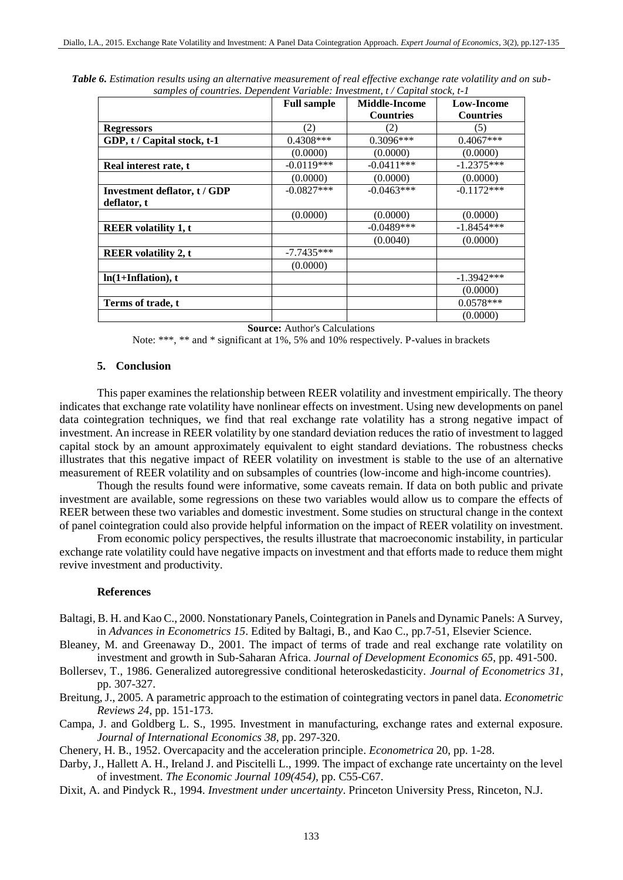|                              | <b>Full sample</b> | Middle-Income    | Low-Income       |
|------------------------------|--------------------|------------------|------------------|
|                              |                    | <b>Countries</b> | <b>Countries</b> |
| <b>Regressors</b>            | (2)                | 2)               | (5)              |
| GDP, t / Capital stock, t-1  | $0.4308***$        | $0.3096***$      | $0.4067***$      |
|                              | (0.0000)           | (0.0000)         | (0.0000)         |
| Real interest rate, t        | $-0.0119***$       | $-0.0411***$     | $-1.2375***$     |
|                              | (0.0000)           | (0.0000)         | (0.0000)         |
| Investment deflator, t / GDP | $-0.0827***$       | $-0.0463***$     | $-0.1172***$     |
| deflator, t                  |                    |                  |                  |
|                              | (0.0000)           | (0.0000)         | (0.0000)         |
| <b>REER</b> volatility 1, t  |                    | $-0.0489***$     | $-1.8454***$     |
|                              |                    | (0.0040)         | (0.0000)         |
| <b>REER</b> volatility 2, t  | $-7.7435***$       |                  |                  |
|                              | (0.0000)           |                  |                  |
| $ln(1+Inflation)$ , t        |                    |                  | $-1.3942***$     |
|                              |                    |                  | (0.0000)         |
| Terms of trade, t            |                    |                  | $0.0578***$      |
|                              |                    |                  | (0.0000)         |

*Table 6. Estimation results using an alternative measurement of real effective exchange rate volatility and on subsamples of countries. Dependent Variable: Investment, t / Capital stock, t-1*

**Source:** Author's Calculations

Note: \*\*\*, \*\* and \* significant at 1%, 5% and 10% respectively. P-values in brackets

# **5. Conclusion**

This paper examines the relationship between REER volatility and investment empirically. The theory indicates that exchange rate volatility have nonlinear effects on investment. Using new developments on panel data cointegration techniques, we find that real exchange rate volatility has a strong negative impact of investment. An increase in REER volatility by one standard deviation reduces the ratio of investment to lagged capital stock by an amount approximately equivalent to eight standard deviations. The robustness checks illustrates that this negative impact of REER volatility on investment is stable to the use of an alternative measurement of REER volatility and on subsamples of countries (low-income and high-income countries).

Though the results found were informative, some caveats remain. If data on both public and private investment are available, some regressions on these two variables would allow us to compare the effects of REER between these two variables and domestic investment. Some studies on structural change in the context of panel cointegration could also provide helpful information on the impact of REER volatility on investment.

From economic policy perspectives, the results illustrate that macroeconomic instability, in particular exchange rate volatility could have negative impacts on investment and that efforts made to reduce them might revive investment and productivity.

#### **References**

- Baltagi, B. H. and Kao C., 2000. Nonstationary Panels, Cointegration in Panels and Dynamic Panels: A Survey, in *Advances in Econometrics 15*. Edited by Baltagi, B., and Kao C., pp.7-51, Elsevier Science.
- Bleaney, M. and Greenaway D., 2001. The impact of terms of trade and real exchange rate volatility on investment and growth in Sub-Saharan Africa. *Journal of Development Economics 65*, pp. 491-500.
- Bollersev, T., 1986. Generalized autoregressive conditional heteroskedasticity. *Journal of Econometrics 31*, pp. 307-327.
- Breitung, J., 2005. A parametric approach to the estimation of cointegrating vectors in panel data. *Econometric Reviews 24*, pp. 151-173.
- Campa, J. and Goldberg L. S., 1995. Investment in manufacturing, exchange rates and external exposure. *Journal of International Economics 38*, pp. 297-320.

Chenery, H. B., 1952. Overcapacity and the acceleration principle. *Econometrica* 20, pp. 1-28.

- Darby, J., Hallett A. H., Ireland J. and Piscitelli L., 1999. The impact of exchange rate uncertainty on the level of investment. *The Economic Journal 109(454),* pp. C55-C67.
- Dixit, A. and Pindyck R., 1994. *Investment under uncertainty*. Princeton University Press, Rinceton, N.J.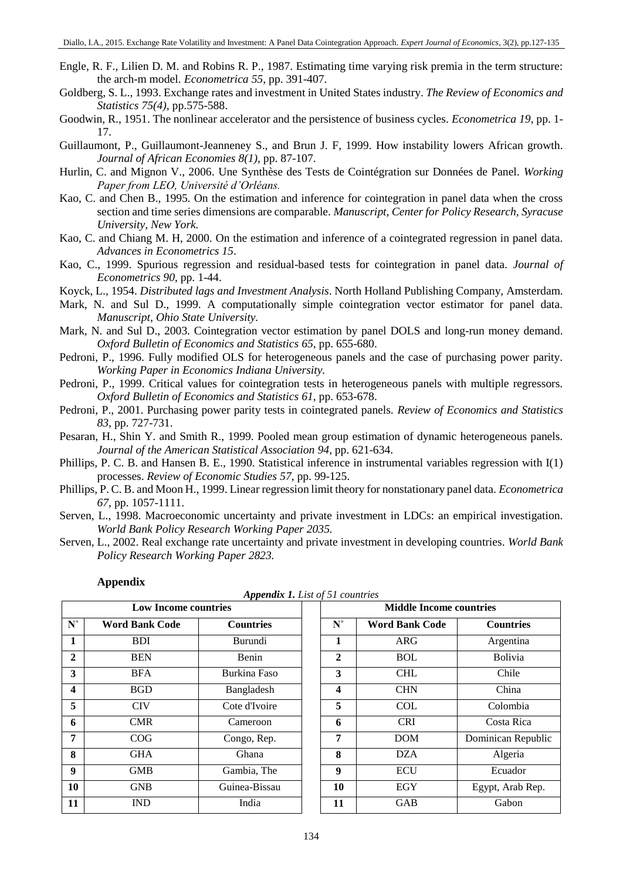- Engle, R. F., Lilien D. M. and Robins R. P., 1987. Estimating time varying risk premia in the term structure: the arch-m model. *Econometrica 55*, pp. 391-407.
- Goldberg, S. L., 1993. Exchange rates and investment in United States industry. *The Review of Economics and Statistics 75(4),* pp.575-588.
- Goodwin, R., 1951. The nonlinear accelerator and the persistence of business cycles. *Econometrica 19*, pp. 1- 17.
- Guillaumont, P., Guillaumont-Jeanneney S., and Brun J. F, 1999. How instability lowers African growth. *Journal of African Economies 8(1),* pp. 87-107.
- Hurlin, C. and Mignon V., 2006. Une Synthèse des Tests de Cointégration sur Données de Panel. *Working Paper from LEO, Université d'Orléans.*
- Kao, C. and Chen B., 1995. On the estimation and inference for cointegration in panel data when the cross section and time series dimensions are comparable. *Manuscript, Center for Policy Research, Syracuse University, New York.*
- Kao, C. and Chiang M. H, 2000. On the estimation and inference of a cointegrated regression in panel data. *Advances in Econometrics 15*.
- Kao, C., 1999. Spurious regression and residual-based tests for cointegration in panel data. *Journal of Econometrics 90*, pp. 1-44.
- Koyck, L., 1954. *Distributed lags and Investment Analysis*. North Holland Publishing Company, Amsterdam.
- Mark, N. and Sul D., 1999. A computationally simple cointegration vector estimator for panel data. *Manuscript, Ohio State University.*
- Mark, N. and Sul D., 2003. Cointegration vector estimation by panel DOLS and long-run money demand. *Oxford Bulletin of Economics and Statistics 65*, pp. 655-680.
- Pedroni, P., 1996. Fully modified OLS for heterogeneous panels and the case of purchasing power parity. *Working Paper in Economics Indiana University.*
- Pedroni, P., 1999. Critical values for cointegration tests in heterogeneous panels with multiple regressors. *Oxford Bulletin of Economics and Statistics 61*, pp. 653-678.
- Pedroni, P., 2001. Purchasing power parity tests in cointegrated panels. *Review of Economics and Statistics 83*, pp. 727-731.
- Pesaran, H., Shin Y. and Smith R., 1999. Pooled mean group estimation of dynamic heterogeneous panels. *Journal of the American Statistical Association 94*, pp. 621-634.
- Phillips, P. C. B. and Hansen B. E., 1990. Statistical inference in instrumental variables regression with I(1) processes. *Review of Economic Studies 57*, pp. 99-125.
- Phillips, P. C. B. and Moon H., 1999. Linear regression limit theory for nonstationary panel data. *Econometrica 67*, pp. 1057-1111.
- Serven, L., 1998. Macroeconomic uncertainty and private investment in LDCs: an empirical investigation. *World Bank Policy Research Working Paper 2035.*
- Serven, L., 2002. Real exchange rate uncertainty and private investment in developing countries. *World Bank Policy Research Working Paper 2823.*

|                             | <b>Appenaix 1.</b> List of 31 countries |                  |  |                 |                                |                    |  |  |  |
|-----------------------------|-----------------------------------------|------------------|--|-----------------|--------------------------------|--------------------|--|--|--|
| <b>Low Income countries</b> |                                         |                  |  |                 | <b>Middle Income countries</b> |                    |  |  |  |
| $N^{\circ}$                 | <b>Word Bank Code</b>                   | <b>Countries</b> |  | ${\bf N}^\circ$ | <b>Word Bank Code</b>          | <b>Countries</b>   |  |  |  |
| $\mathbf{1}$                | <b>BDI</b>                              | <b>Burundi</b>   |  | 1               | <b>ARG</b>                     | Argentina          |  |  |  |
| $\mathbf{2}$                | <b>BEN</b>                              | Benin            |  | $\mathbf{2}$    | BOL                            | <b>Bolivia</b>     |  |  |  |
| 3                           | <b>BFA</b>                              | Burkina Faso     |  | 3               | <b>CHL</b>                     | Chile              |  |  |  |
| $\boldsymbol{4}$            | <b>BGD</b>                              | Bangladesh       |  | 4               | <b>CHN</b>                     | China              |  |  |  |
| 5                           | <b>CIV</b>                              | Cote d'Ivoire    |  | 5               | <b>COL</b>                     | Colombia           |  |  |  |
| 6                           | <b>CMR</b>                              | Cameroon         |  | 6               | <b>CRI</b>                     | Costa Rica         |  |  |  |
| $\overline{7}$              | COG                                     | Congo, Rep.      |  | 7               | DOM                            | Dominican Republic |  |  |  |
| 8                           | <b>GHA</b>                              | Ghana            |  | 8               | <b>DZA</b>                     | Algeria            |  |  |  |
| 9                           | <b>GMB</b>                              | Gambia, The      |  | 9               | <b>ECU</b>                     | Ecuador            |  |  |  |
| 10                          | <b>GNB</b>                              | Guinea-Bissau    |  | 10              | EGY                            | Egypt, Arab Rep.   |  |  |  |
| 11                          | <b>IND</b>                              | India            |  | 11              | <b>GAB</b>                     | Gabon              |  |  |  |

### **Appendix**

*Appendix 1. List of 51 countries*

| $A$ ppenu $\alpha$ 1. Etst $\alpha$ 21 countries |                  |  |                                |                       |                    |  |  |  |
|--------------------------------------------------|------------------|--|--------------------------------|-----------------------|--------------------|--|--|--|
| <b>Low Income countries</b>                      |                  |  | <b>Middle Income countries</b> |                       |                    |  |  |  |
| <b>Bank Code</b>                                 | <b>Countries</b> |  | ${\bf N}^\circ$                | <b>Word Bank Code</b> | <b>Countries</b>   |  |  |  |
| <b>BDI</b>                                       | Burundi          |  | 1                              | <b>ARG</b>            | Argentina          |  |  |  |
| <b>BEN</b>                                       | Benin            |  | $\mathbf{2}$                   | <b>BOL</b>            | <b>Bolivia</b>     |  |  |  |
| BFA                                              | Burkina Faso     |  | 3                              | <b>CHL</b>            | Chile              |  |  |  |
| <b>BGD</b>                                       | Bangladesh       |  | $\overline{\mathbf{4}}$        | <b>CHN</b>            | China              |  |  |  |
| <b>CIV</b>                                       | Cote d'Ivoire    |  | 5                              | <b>COL</b>            | Colombia           |  |  |  |
| CMR                                              | Cameroon         |  | 6                              | <b>CRI</b>            | Costa Rica         |  |  |  |
| COG                                              | Congo, Rep.      |  | 7                              | <b>DOM</b>            | Dominican Republic |  |  |  |
| ЭHА                                              | Ghana            |  | 8                              | <b>DZA</b>            | Algeria            |  |  |  |
| <b>GMB</b>                                       | Gambia, The      |  | 9                              | <b>ECU</b>            | Ecuador            |  |  |  |
| $\overline{\text{SNB}}$                          | Guinea-Bissau    |  | 10                             | EGY                   | Egypt, Arab Rep.   |  |  |  |
| IND                                              | India            |  | 11                             | <b>GAB</b>            | Gabon              |  |  |  |